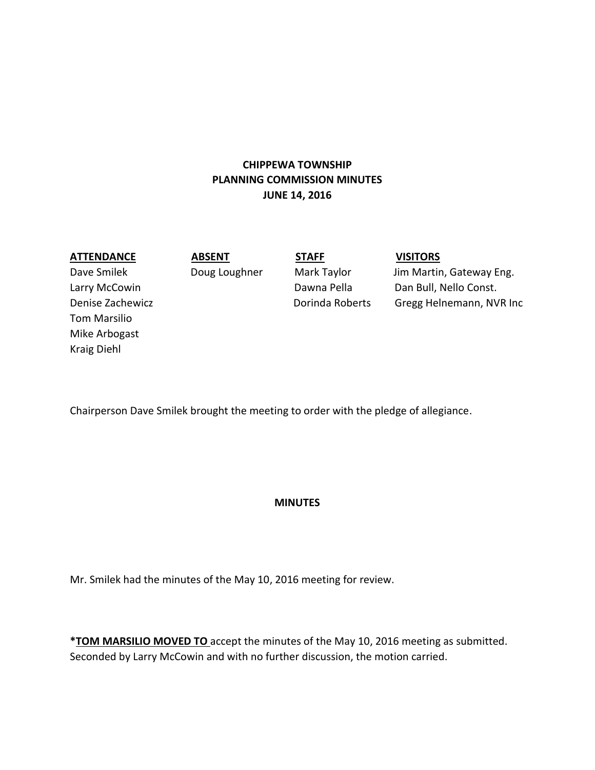# **CHIPPEWA TOWNSHIP PLANNING COMMISSION MINUTES JUNE 14, 2016**

## **ATTENDANCE ABSENT STAFF VISITORS**

Tom Marsilio Mike Arbogast Kraig Diehl

Dave Smilek **Doug Loughner** Mark Taylor Jim Martin, Gateway Eng. Larry McCowin **Dawna Pella** Dawna Pella Dan Bull, Nello Const. Denise Zachewicz Dorinda Roberts Gregg Helnemann, NVR Inc

Chairperson Dave Smilek brought the meeting to order with the pledge of allegiance.

## **MINUTES**

Mr. Smilek had the minutes of the May 10, 2016 meeting for review.

**\*TOM MARSILIO MOVED TO** accept the minutes of the May 10, 2016 meeting as submitted. Seconded by Larry McCowin and with no further discussion, the motion carried.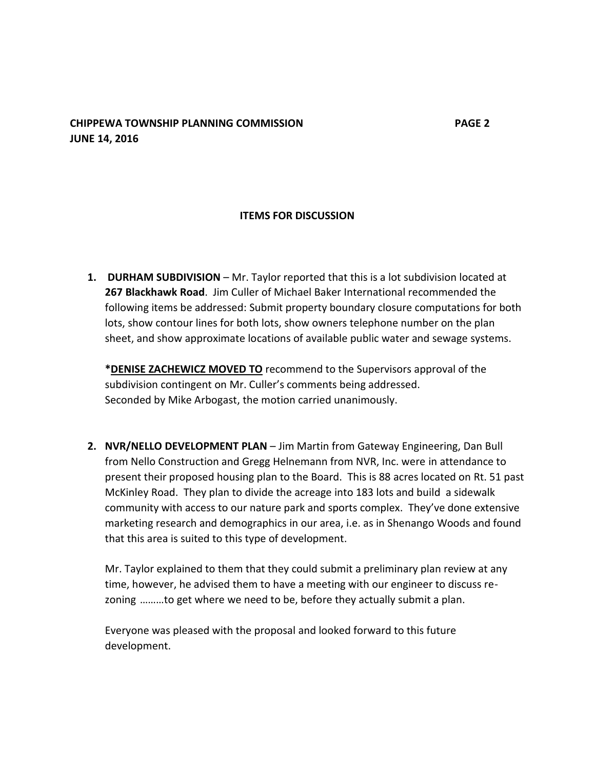## **CHIPPEWA TOWNSHIP PLANNING COMMISSION PAGE 2 JUNE 14, 2016**

# **ITEMS FOR DISCUSSION**

**1. DURHAM SUBDIVISION** – Mr. Taylor reported that this is a lot subdivision located at **267 Blackhawk Road**. Jim Culler of Michael Baker International recommended the following items be addressed: Submit property boundary closure computations for both lots, show contour lines for both lots, show owners telephone number on the plan sheet, and show approximate locations of available public water and sewage systems.

**\*DENISE ZACHEWICZ MOVED TO** recommend to the Supervisors approval of the subdivision contingent on Mr. Culler's comments being addressed. Seconded by Mike Arbogast, the motion carried unanimously.

**2. NVR/NELLO DEVELOPMENT PLAN** – Jim Martin from Gateway Engineering, Dan Bull from Nello Construction and Gregg Helnemann from NVR, Inc. were in attendance to present their proposed housing plan to the Board. This is 88 acres located on Rt. 51 past McKinley Road. They plan to divide the acreage into 183 lots and build a sidewalk community with access to our nature park and sports complex. They've done extensive marketing research and demographics in our area, i.e. as in Shenango Woods and found that this area is suited to this type of development.

Mr. Taylor explained to them that they could submit a preliminary plan review at any time, however, he advised them to have a meeting with our engineer to discuss rezoning ………to get where we need to be, before they actually submit a plan.

Everyone was pleased with the proposal and looked forward to this future development.